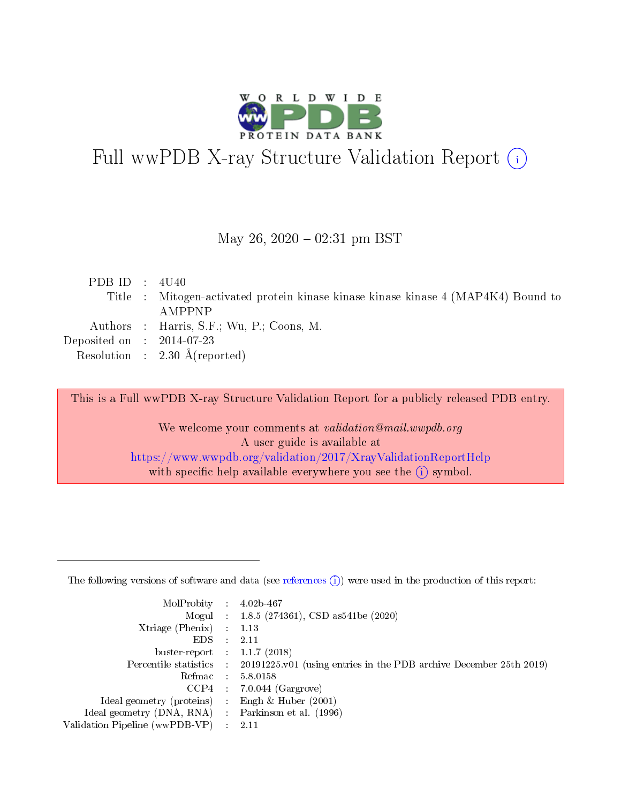

# Full wwPDB X-ray Structure Validation Report (i)

#### May 26,  $2020 - 02:31$  pm BST

| PDB ID : $4U40$             |                                                                                   |
|-----------------------------|-----------------------------------------------------------------------------------|
|                             | Title : Mitogen-activated protein kinase kinase kinase kinase 4 (MAP4K4) Bound to |
|                             | AMPPNP                                                                            |
|                             | Authors : Harris, S.F.; Wu, P.; Coons, M.                                         |
| Deposited on : $2014-07-23$ |                                                                                   |
|                             | Resolution : $2.30 \text{ Å}$ (reported)                                          |

This is a Full wwPDB X-ray Structure Validation Report for a publicly released PDB entry.

We welcome your comments at validation@mail.wwpdb.org A user guide is available at <https://www.wwpdb.org/validation/2017/XrayValidationReportHelp> with specific help available everywhere you see the  $(i)$  symbol.

The following versions of software and data (see [references](https://www.wwpdb.org/validation/2017/XrayValidationReportHelp#references)  $(1)$ ) were used in the production of this report:

| MolProbity :                   |               | $4.02b - 467$                                                                |
|--------------------------------|---------------|------------------------------------------------------------------------------|
|                                |               | Mogul : $1.8.5$ (274361), CSD as 541be (2020)                                |
| Xtriage (Phenix)               | $\mathcal{L}$ | 1.13                                                                         |
| EDS.                           |               | 2.11                                                                         |
| buster-report : $1.1.7$ (2018) |               |                                                                              |
| Percentile statistics :        |               | $20191225 \text{ v}01$ (using entries in the PDB archive December 25th 2019) |
| Refmac :                       |               | 5.8.0158                                                                     |
| CCP4                           |               | $7.0.044$ (Gargrove)                                                         |
| Ideal geometry (proteins) :    |               | Engh & Huber $(2001)$                                                        |
| Ideal geometry (DNA, RNA) :    |               | Parkinson et al. (1996)                                                      |
| Validation Pipeline (wwPDB-VP) | $\mathcal{L}$ | 2.11                                                                         |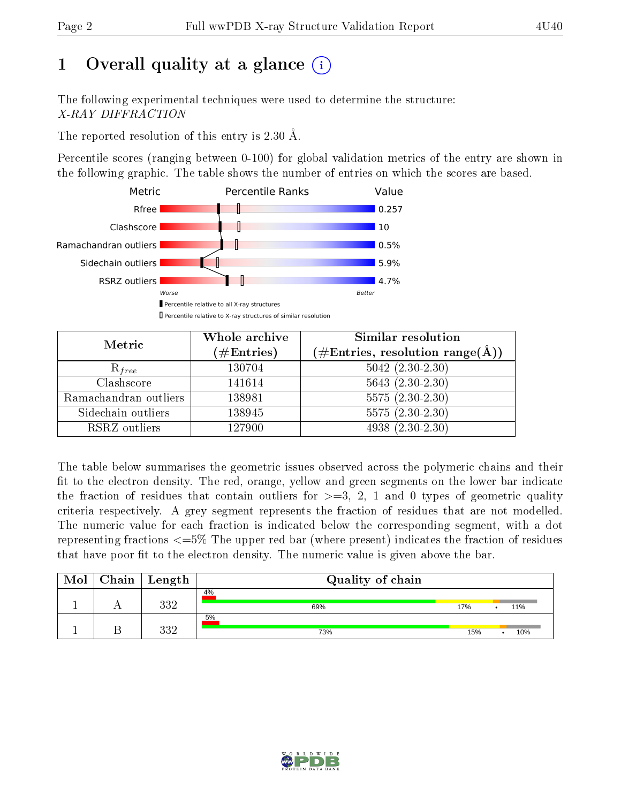# 1 [O](https://www.wwpdb.org/validation/2017/XrayValidationReportHelp#overall_quality)verall quality at a glance  $(i)$

The following experimental techniques were used to determine the structure: X-RAY DIFFRACTION

The reported resolution of this entry is 2.30 Å.

Percentile scores (ranging between 0-100) for global validation metrics of the entry are shown in the following graphic. The table shows the number of entries on which the scores are based.



| Metric                | Whole archive<br>$(\#\mathrm{Entries})$ | Similar resolution<br>$(\#\text{Entries},\, \text{resolution}\; \text{range}(\textup{\AA}))$ |
|-----------------------|-----------------------------------------|----------------------------------------------------------------------------------------------|
| $R_{free}$            | 130704                                  | $5042$ $(2.30-2.30)$                                                                         |
| Clashscore            | 141614                                  | $5643(2.30-2.30)$                                                                            |
| Ramachandran outliers | 138981                                  | $\overline{5575}$ $(2.30-2.30)$                                                              |
| Sidechain outliers    | 138945                                  | $5575(2.30-2.30)$                                                                            |
| RSRZ outliers         | 127900                                  | $4938(2.30-2.30)$                                                                            |

The table below summarises the geometric issues observed across the polymeric chains and their fit to the electron density. The red, orange, yellow and green segments on the lower bar indicate the fraction of residues that contain outliers for  $>=3, 2, 1$  and 0 types of geometric quality criteria respectively. A grey segment represents the fraction of residues that are not modelled. The numeric value for each fraction is indicated below the corresponding segment, with a dot representing fractions  $\epsilon=5\%$  The upper red bar (where present) indicates the fraction of residues that have poor fit to the electron density. The numeric value is given above the bar.

| Mol | $\mid$ Chain $\mid$ Length | Quality of chain |     |     |
|-----|----------------------------|------------------|-----|-----|
|     | ววว                        | 4%<br>69%        | 17% | 11% |
|     | າາາ                        | 5%<br>73%        | 15% | 10% |

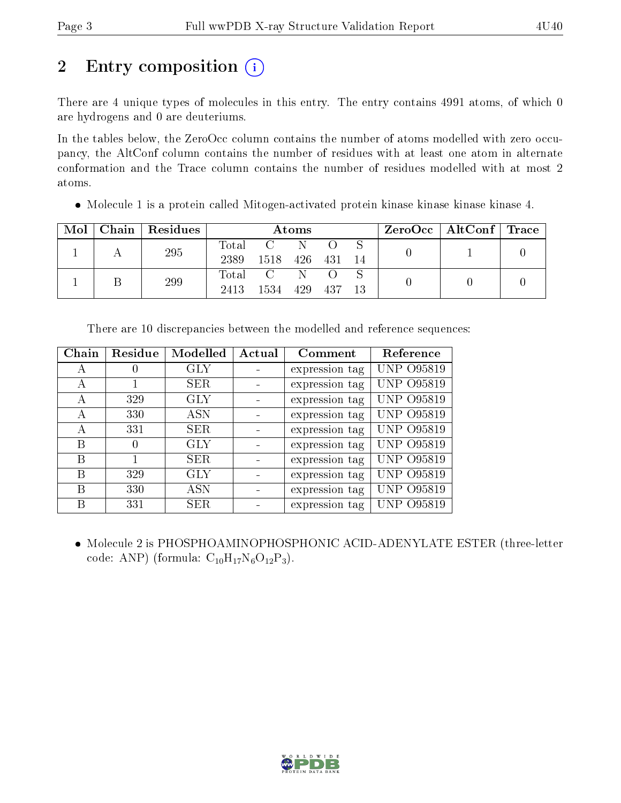# 2 Entry composition  $\left( \cdot \right)$

There are 4 unique types of molecules in this entry. The entry contains 4991 atoms, of which 0 are hydrogens and 0 are deuteriums.

In the tables below, the ZeroOcc column contains the number of atoms modelled with zero occupancy, the AltConf column contains the number of residues with at least one atom in alternate conformation and the Trace column contains the number of residues modelled with at most 2 atoms.

Molecule 1 is a protein called Mitogen-activated protein kinase kinase kinase kinase 4.

| Mol | Chain   Residues | Atoms                    |                  |     |      | $ZeroOcc \mid AltConf \mid Trace$ |  |  |
|-----|------------------|--------------------------|------------------|-----|------|-----------------------------------|--|--|
|     | 295              | $\rm Total$<br>2389      | 1518             | 426 | -431 | -14                               |  |  |
|     | 299              | $\mathrm{Total}$<br>2413 | $\Gamma$<br>1534 | 429 | 437  | 13                                |  |  |

| Chain | Residue | Modelled   | Actual | Comment        | Reference         |
|-------|---------|------------|--------|----------------|-------------------|
| А     |         | <b>GLY</b> |        | expression tag | UNP 095819        |
| А     |         | SER        |        | expression tag | <b>UNP 095819</b> |
| А     | 329     | <b>GLY</b> |        | expression tag | <b>UNP 095819</b> |
| А     | 330     | ASN        |        | expression tag | <b>UNP 095819</b> |
| А     | 331     | <b>SER</b> |        | expression tag | <b>UNP 095819</b> |
| В     |         | GLY        |        | expression tag | <b>UNP 095819</b> |
| В     |         | <b>SER</b> |        | expression tag | <b>UNP 095819</b> |
| В     | 329     | GLY        |        | expression tag | <b>UNP 095819</b> |
| B     | 330     | ASN        |        | expression tag | <b>UNP 095819</b> |
| В     | 331     | <b>SER</b> |        | expression tag | UNP 095819        |

There are 10 discrepancies between the modelled and reference sequences:

 Molecule 2 is PHOSPHOAMINOPHOSPHONIC ACID-ADENYLATE ESTER (three-letter code: ANP) (formula:  $C_{10}H_{17}N_6O_{12}P_3$ ).

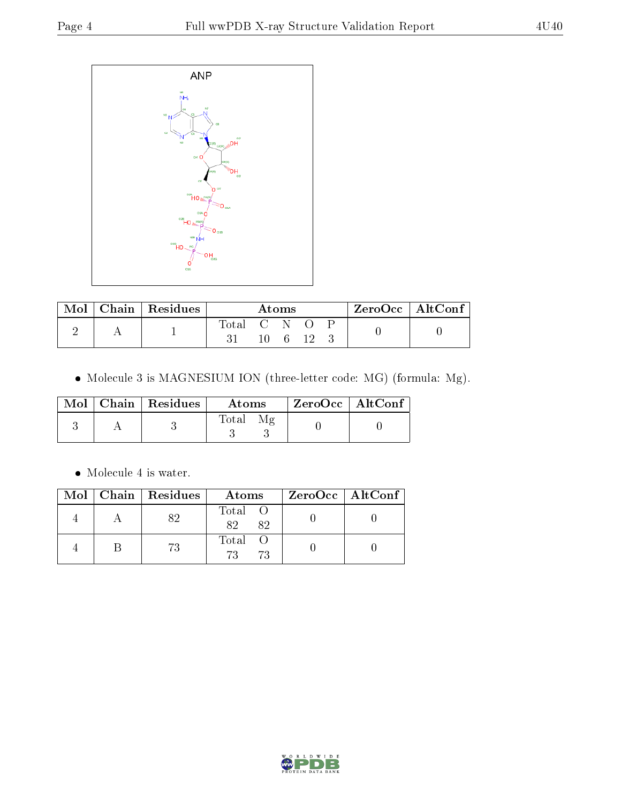

|  | Chain   Residues | Atoms     |  |  |  | $ZeroOcc \mid AltConf \mid$ |  |  |
|--|------------------|-----------|--|--|--|-----------------------------|--|--|
|  |                  | Total C N |  |  |  |                             |  |  |
|  |                  |           |  |  |  |                             |  |  |

 $\bullet$  Molecule 3 is MAGNESIUM ION (three-letter code: MG) (formula: Mg).

|  | $\text{Mol}$   Chain   Residues | Atoms | $ZeroOcc$   AltConf |
|--|---------------------------------|-------|---------------------|
|  |                                 | Total |                     |

 $\bullet\,$  Molecule 4 is water.

|  | Mol   Chain   Residues | Atoms         | ZeroOcc   AltConf |
|--|------------------------|---------------|-------------------|
|  |                        | Total O<br>82 |                   |
|  | 73                     | Total<br>73   |                   |

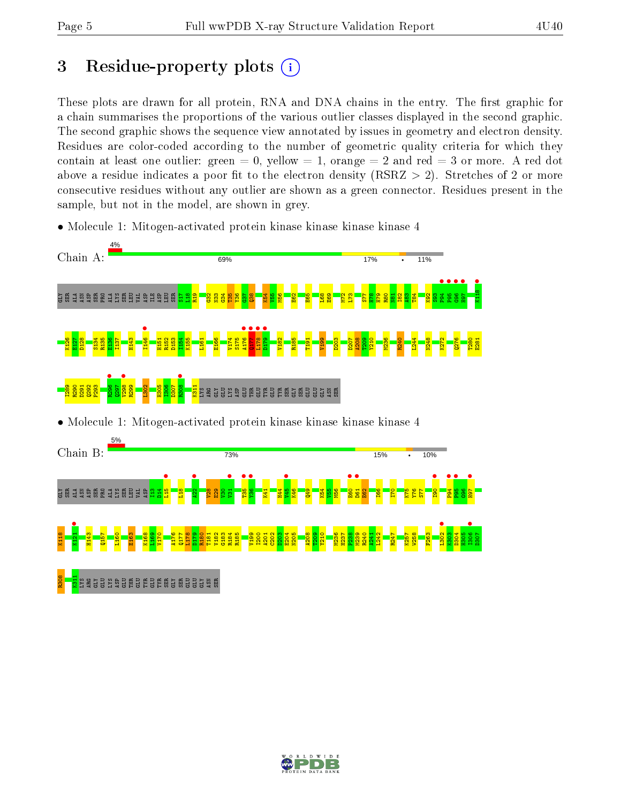# 3 Residue-property plots  $(i)$

These plots are drawn for all protein, RNA and DNA chains in the entry. The first graphic for a chain summarises the proportions of the various outlier classes displayed in the second graphic. The second graphic shows the sequence view annotated by issues in geometry and electron density. Residues are color-coded according to the number of geometric quality criteria for which they contain at least one outlier: green  $= 0$ , yellow  $= 1$ , orange  $= 2$  and red  $= 3$  or more. A red dot above a residue indicates a poor fit to the electron density (RSRZ  $> 2$ ). Stretches of 2 or more consecutive residues without any outlier are shown as a green connector. Residues present in the sample, but not in the model, are shown in grey.

• Molecule 1: Mitogen-activated protein kinase kinase kinase kinase 4



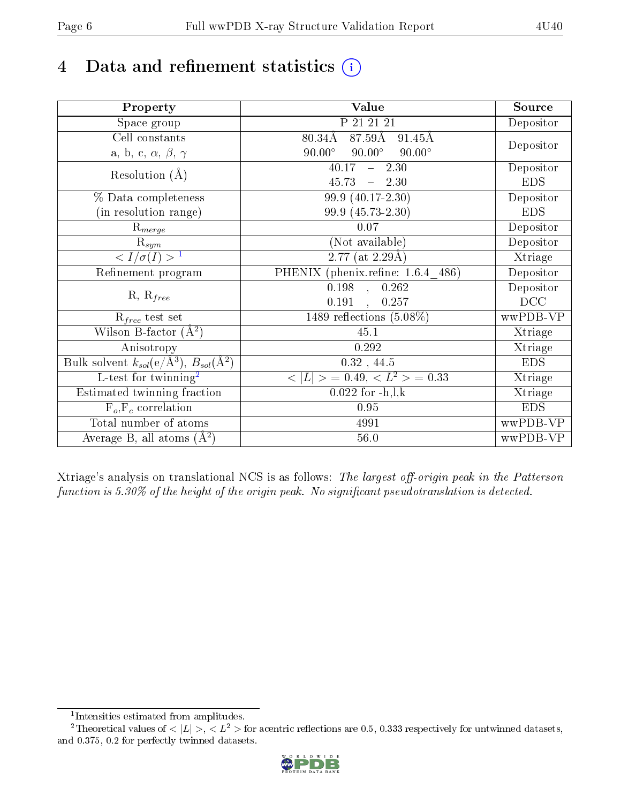# 4 Data and refinement statistics  $(i)$

| Property                                                             | <b>Value</b>                                     | Source     |
|----------------------------------------------------------------------|--------------------------------------------------|------------|
| Space group                                                          | P 21 21 21                                       | Depositor  |
| Cell constants                                                       | $87.59\text{\AA}$<br>$80.34\text{\AA}$<br>91.45Å |            |
| a, b, c, $\alpha$ , $\beta$ , $\gamma$                               | $90.00^\circ$<br>$90.00^\circ$<br>$90.00^\circ$  | Depositor  |
| Resolution $(A)$                                                     | 40.17<br>$-2.30$                                 | Depositor  |
|                                                                      | 45.73<br>$-2.30$                                 | <b>EDS</b> |
| % Data completeness                                                  | 99.9 (40.17-2.30)                                | Depositor  |
| (in resolution range)                                                | 99.9 (45.73-2.30)                                | <b>EDS</b> |
| $R_{merge}$                                                          | 0.07                                             | Depositor  |
| $\mathrm{R}_{sym}$                                                   | (Not available)                                  | Depositor  |
| $\langle I/\sigma(I) \rangle^{-1}$                                   | $\overline{2.77 \text{ (at 2.29\text{\AA})}}$    | Xtriage    |
| Refinement program                                                   | PHENIX (phenix.refine: 1.6.4 486)                | Depositor  |
| $R, R_{free}$                                                        | $\overline{0.198}$ ,<br>0.262                    | Depositor  |
|                                                                      | 0.191<br>$\ddot{\phantom{a}}$<br>0.257           | DCC        |
| $R_{free}$ test set                                                  | 1489 reflections $(5.08\%)$                      | wwPDB-VP   |
| Wilson B-factor $(A^2)$                                              | 45.1                                             | Xtriage    |
| Anisotropy                                                           | 0.292                                            | Xtriage    |
| Bulk solvent $k_{sol}(e/\mathring{A}^3)$ , $B_{sol}(\mathring{A}^2)$ | $0.32$ , 44.5                                    | <b>EDS</b> |
| L-test for twinning <sup>2</sup>                                     | $>$ = 0.49, < $L^2$ > = 0.33<br>< L              | Xtriage    |
| Estimated twinning fraction                                          | $0.022$ for $-h, l, k$                           | Xtriage    |
| $F_o, F_c$ correlation                                               | 0.95                                             | <b>EDS</b> |
| Total number of atoms                                                | 4991                                             | wwPDB-VP   |
| Average B, all atoms $(A^2)$                                         | $56.0\,$                                         | wwPDB-VP   |

Xtriage's analysis on translational NCS is as follows: The largest off-origin peak in the Patterson function is  $5.30\%$  of the height of the origin peak. No significant pseudotranslation is detected.

<sup>&</sup>lt;sup>2</sup>Theoretical values of  $\langle |L| \rangle$ ,  $\langle L^2 \rangle$  for acentric reflections are 0.5, 0.333 respectively for untwinned datasets, and 0.375, 0.2 for perfectly twinned datasets.



<span id="page-5-1"></span><span id="page-5-0"></span><sup>1</sup> Intensities estimated from amplitudes.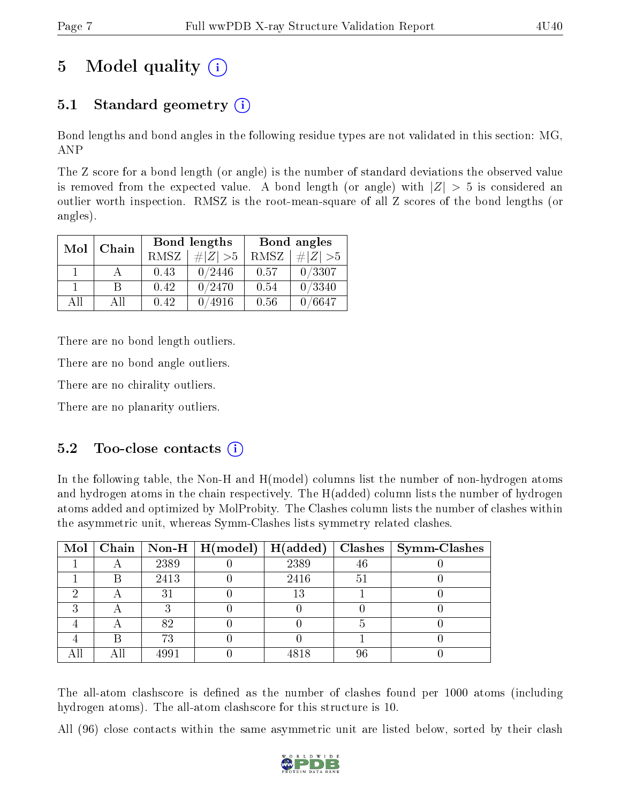# 5 Model quality  $(i)$

# 5.1 Standard geometry (i)

Bond lengths and bond angles in the following residue types are not validated in this section: MG, ANP

The Z score for a bond length (or angle) is the number of standard deviations the observed value is removed from the expected value. A bond length (or angle) with  $|Z| > 5$  is considered an outlier worth inspection. RMSZ is the root-mean-square of all Z scores of the bond lengths (or angles).

| Mol | Chain |      | Bond lengths    | Bond angles |             |  |
|-----|-------|------|-----------------|-------------|-------------|--|
|     |       | RMSZ | $\# Z  > 5$     | RMSZ        | $\# Z  > 5$ |  |
|     |       | 0.43 | 0/2446          | 0.57        | 0/3307      |  |
|     | R     | 0.42 | 0/2470          | 0.54        | 0/3340      |  |
| АH  | Аll   | 0.42 | $^{\prime}4916$ | 0.56        | /6647       |  |

There are no bond length outliers.

There are no bond angle outliers.

There are no chirality outliers.

There are no planarity outliers.

### $5.2$  Too-close contacts  $(i)$

In the following table, the Non-H and H(model) columns list the number of non-hydrogen atoms and hydrogen atoms in the chain respectively. The H(added) column lists the number of hydrogen atoms added and optimized by MolProbity. The Clashes column lists the number of clashes within the asymmetric unit, whereas Symm-Clashes lists symmetry related clashes.

|  |      | Mol   Chain   Non-H   H(model)   H(added) |      |    | $\textbf{Class} \mid \textbf{Symm-Class}$ |
|--|------|-------------------------------------------|------|----|-------------------------------------------|
|  | 2389 |                                           | 2389 | 46 |                                           |
|  | 2413 |                                           | 2416 | 5. |                                           |
|  | 31   |                                           | 13   |    |                                           |
|  |      |                                           |      |    |                                           |
|  | 82   |                                           |      |    |                                           |
|  | 73   |                                           |      |    |                                           |
|  | 4991 |                                           | 4818 |    |                                           |

The all-atom clashscore is defined as the number of clashes found per 1000 atoms (including hydrogen atoms). The all-atom clashscore for this structure is 10.

All (96) close contacts within the same asymmetric unit are listed below, sorted by their clash

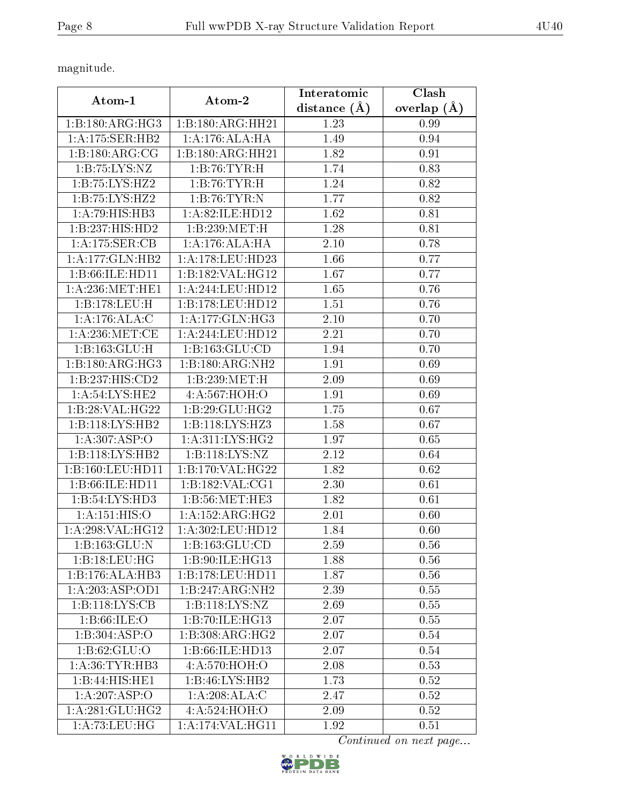magnitude.

| Atom-1                     | Atom-2              | Interatomic       | Clash             |
|----------------------------|---------------------|-------------------|-------------------|
|                            |                     | distance $(A)$    | overlap $(A)$     |
| 1:B:180:ARG:HG3            | 1:B:180:ARG:HH21    | 1.23              | 0.99              |
| 1:A:175:SER:HB2            | 1:A:176:ALA:HA      | 1.49              | 0.94              |
| 1: B: 180: ARG: CG         | 1:B:180:ARG:HH21    | 1.82              | 0.91              |
| 1: B: 75: LYS: NZ          | 1:B:76:TYR:H        | 1.74              | 0.83              |
| 1:B:75:LYS:HZ2             | 1:B:76:TYR:H        | 1.24              | 0.82              |
| 1: B:75: LYS: HZ2          | 1:B:76:TYR:N        | 1.77              | 0.82              |
| 1:A:79:HIS:HB3             | 1: A:82: ILE: HD12  | 1.62              | 0.81              |
| 1:B:237:HIS:HD2            | 1:B:239:MET:H       | 1.28              | 0.81              |
| 1:A:175:SER:CB             | 1:A:176:ALA:HA      | 2.10              | 0.78              |
| 1: A:177: GLN: HB2         | 1: A:178: LEU: HD23 | 1.66              | 0.77              |
| 1:B:66:ILE:HD11            | 1:B:182:VAL:HG12    | 1.67              | 0.77              |
| 1: A:236:MET:HE1           | 1:A:244:LEU:HD12    | $\overline{1.65}$ | 0.76              |
| 1:B:178:LEU:H              | 1:B:178:LEU:HD12    | 1.51              | 0.76              |
| $1:A:176:ALA:\overline{C}$ | 1: A:177: GLN: HG3  | 2.10              | 0.70              |
| 1: A:236: MET:CE           | 1:A:244:LEU:HD12    | 2.21              | 0.70              |
| 1:B:163:GLU:H              | 1:B:163:GLU:CD      | 1.94              | 0.70              |
| 1:B:180:ARG:HG3            | 1:B:180:ARG:NH2     | 1.91              | 0.69              |
| 1:B:237:HIS:CD2            | 1:B:239:MET:H       | 2.09              | 0.69              |
| 1: A:54:LYS:HE2            | 4:A:567:HOH:O       | 1.91              | 0.69              |
| 1:B:28:VAL:HG22            | 1:B:29:GLU:HG2      | 1.75              | 0.67              |
| 1:B:118:LYS:HB2            | 1: B: 118: LYS: HZ3 | 1.58              | $\overline{0.67}$ |
| 1:A:307:ASP:O              | 1: A:311: LYS: HG2  | 1.97              | 0.65              |
| 1:B:118:LYS:HB2            | 1:B:118:LYS:NZ      | 2.12              | 0.64              |
| 1:B:160:LEU:HD11           | 1:B:170:VAL:HG22    | 1.82              | 0.62              |
| 1:B:66:ILE:HD11            | 1:B:182:VAL:CG1     | 2.30              | 0.61              |
| 1:B:54:LYS:HD3             | 1:B:56:MET:HE3      | 1.82              | 0.61              |
| 1: A:151: HIS:O            | 1: A: 152: ARG: HG2 | 2.01              | 0.60              |
| 1: A:298: VAL:HG12         | 1: A:302:LEU:HD12   | 1.84              | 0.60              |
| 1: B: 163: GLU: N          | 1:B:163:GLU:CD      | 2.59              | 0.56              |
| 1:B:18:LEU:HG              | 1:B:90:ILE:HG13     | 1.88              | 0.56              |
| 1:B:176:ALA:HB3            | 1:B:178:LEU:HD11    | 1.87              | 0.56              |
| 1:A:203:ASP:OD1            | 1:B:247:ARG:NH2     | 2.39              | 0.55              |
| 1:B:118:LYS:CB             | 1:B:118:LYS:NZ      | 2.69              | 0.55              |
| 1: B:66: ILE: O            | 1:B:70:ILE:HG13     | 2.07              | 0.55              |
| 1:B:304:ASP:O              | 1: B: 308: ARG: HG2 | 2.07              | 0.54              |
| 1: B:62: GLU:O             | 1:B:66:ILE:HD13     | 2.07              | 0.54              |
| 1: A:36: TYR: HB3          | 4:A:570:HOH:O       | 2.08              | 0.53              |
| 1:B:44:HIS:HE1             | 1:B:46:LYS:HB2      | 1.73              | 0.52              |
| 1:A:207:ASP:O              | 1:A:208:ALA:C       | 2.47              | 0.52              |
| 1: A:281: GLU:HG2          | 4:A:524:HOH:O       | 2.09              | 0.52              |
| 1: A: 73: LEU: HG          | 1:A:174:VAL:HG11    | 1.92              | 0.51              |

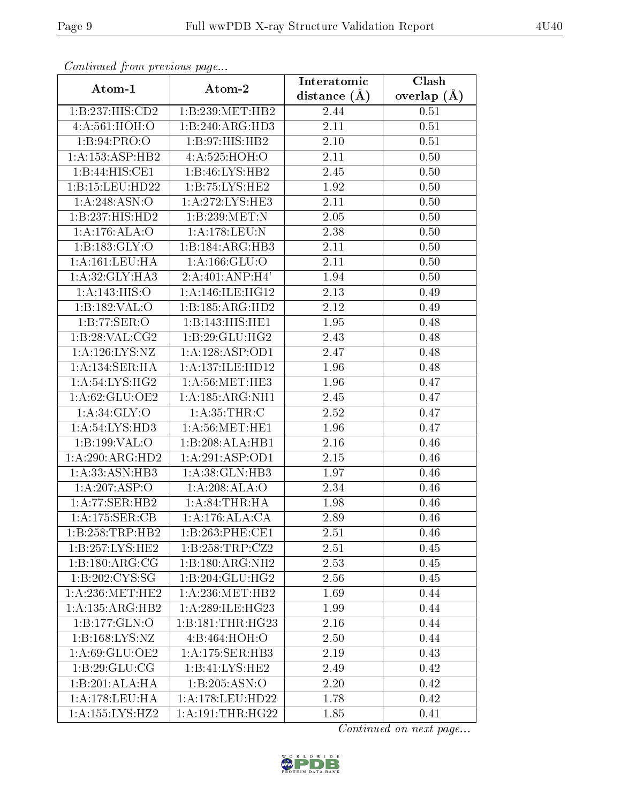|                     | Continuatu from previous page |                   | Clash           |
|---------------------|-------------------------------|-------------------|-----------------|
| Atom-1              | Atom-2                        |                   | overlap $(\AA)$ |
| 1:B:237:HIS:CD2     | 1:B:239:MET:HB2               | 2.44              | 0.51            |
| 4:A:561:HOH:O       | 1:B:240:ARG:HD3               | 2.11              | 0.51            |
| 1: B:94: PRO:O      | 1:B:97:HIS:HB2                | 2.10              | 0.51            |
| 1:A:153:ASP:HB2     | 4:A:525:HOH:O                 | 2.11              | 0.50            |
| 1:B:44:HIS:CE1      | 1:B:46:LYS:HB2                | 2.45              | 0.50            |
| 1:B:15:LEU:HD22     | 1:B:75:LYS:HE2                | 1.92              | 0.50            |
| 1:A:248:ASN:O       | 1: A:272:LYS:HE3              | $\overline{2.11}$ | 0.50            |
| 1:B:237:HIS:HD2     | 1:B:239:MET:N                 | 2.05              | 0.50            |
| 1:A:176:ALA:O       | 1:A:178:LEU:N                 | 2.38              | 0.50            |
| 1: B: 183: GLY:O    | 1:B:184:ARG:HB3               | 2.11              | 0.50            |
| 1:A:161:LEU:HA      | 1:A:166:GLU:O                 | 2.11              | 0.50            |
| 1:A:32:GLY:HA3      | 2:A:401:ANP:H4'               | 1.94              | 0.50            |
| 1:A:143:HIS:O       | 1: A:146: ILE: HG12           | 2.13              | 0.49            |
| 1:B:182:VAL:O       | 1:B:185:ARG:HD2               | 2.12              | 0.49            |
| 1:B:77:SER:O        | 1:B:143:HIS:HE1               | 1.95              | 0.48            |
| 1:B:28:VAL:CG2      | 1:B:29:GLU:HG2                | 2.43              | 0.48            |
| 1:A:126:LYS:NZ      | 1:A:128:ASP:OD1               | 2.47              | 0.48            |
| 1:A:134:SER:HA      | 1:A:137:ILE:HD12              | 1.96              | 0.48            |
| 1: A:54: LYS: HG2   | 1: A:56:MET:HE3               | 1.96              | 0.47            |
| 1:A:62:GLU:OE2      | 1:A:185:ARG:NH1               | 2.45              | 0.47            |
| 1: A:34: GLY:O      | 1: A:35:THR:C                 | 2.52              | 0.47            |
| 1: A:54: LYS:HD3    | 1: A:56:MET:HE1               | 1.96              | 0.47            |
| 1:B:199:VAL:O       | 1:B:208:ALA:HB1               | 2.16              | 0.46            |
| 1:A:290:ARG:HD2     | 1:A:291:ASP:OD1               | 2.15              | 0.46            |
| 1:A:33:ASN:HB3      | 1:A:38:GLN:HB3                | 1.97              | 0.46            |
| 1:A:207:ASP:O       | 1:A:208:ALA:O                 | 2.34              | 0.46            |
| 1:A:77:SER:HB2      | 1: A:84:THR:HA                | 1.98              | 0.46            |
| 1:A:175:SER:CB      | 1:A:176:ALA:CA                | 2.89              | 0.46            |
| 1:B:258:TRP:HB2     | 1:B:263:PHE:CE1               | 2.51              | 0.46            |
| 1:B:257:LYS:HE2     | 1:B:258:TRP:CZ2               | 2.51              | 0.45            |
| 1:B:180:ARG:CG      | 1:B:180:ARG:NH2               | 2.53              | 0.45            |
| 1:B:202:CYS:SG      | 1:B:204:GLU:HG2               | 2.56              | 0.45            |
| 1: A:236:MET:HE2    | 1: A:236:MET:HB2              | 1.69              | 0.44            |
| 1: A: 135: ARG: HB2 | 1:A:289:ILE:HG23              | 1.99              | 0.44            |
| 1:B:177:GLN:O       | 1:B:181:THR:HG23              | 2.16              | 0.44            |
| 1:B:168:LYS:NZ      | 4:Bi:464:HOH:O                | 2.50              | 0.44            |
| 1:A:69:GLU:OE2      | 1:A:175:SER:HB3               | 2.19              | 0.43            |
| 1:B:29:GLU:CG       | 1:B:41:LYS:HE2                | 2.49              | 0.42            |
| 1:B:201:ALA:HA      | 1:B:205:ASN:O                 | 2.20              | 0.42            |
| 1: A:178:LEU:HA     | 1:A:178:LEU:HD22              | 1.78              | 0.42            |
| 1: A: 155: LYS: HZ2 | 1: A:191:THR:HG22             | 1.85              | 0.41            |

Continued from previous page.

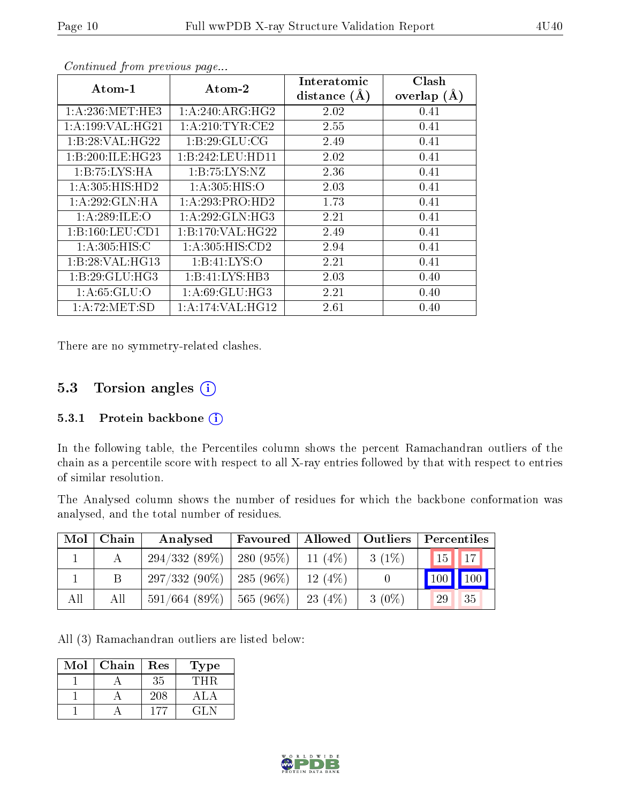| $Atom-1$             | Atom-2             | Interatomic<br>distance $(A)$ | Clash<br>overlap $(A)$ |
|----------------------|--------------------|-------------------------------|------------------------|
|                      |                    |                               |                        |
| 1: A:236: MET:HE3    | 1: A:240: ARG:HG2  | 2.02                          | 0.41                   |
| 1: A: 199: VAL: HG21 | 1: A:210: TYR: CE2 | 2.55                          | 0.41                   |
| 1:B:28:VAL:HG22      | 1:B:29:GLU:CG      | 2.49                          | 0.41                   |
| 1:B:200:ILE:HG23     | 1:B:242:LEU:HD11   | 2.02                          | 0.41                   |
| 1:B:75:LYS:HA        | 1:B:75:LYS:NZ      | 2.36                          | 0.41                   |
| 1: A:305: HIS: HD2   | 1: A:305: HIS:O    | 2.03                          | 0.41                   |
| 1:A:292:GLN:HA       | 1:A:293:PRO:HD2    | 1.73                          | 0.41                   |
| 1:A:289:ILE:O        | 1:A:292:GLN:HG3    | 2.21                          | 0.41                   |
| 1:B:160:LEU:CD1      | 1:B:170:VAL:HG22   | 2.49                          | 0.41                   |
| 1: A:305: HIS:C      | 1: A:305: HIS: CD2 | 2.94                          | 0.41                   |
| 1:B:28:VAL:HG13      | 1:B:41:LYS:O       | 2.21                          | 0.41                   |
| 1:B:29:GLU:HG3       | 1:B:41:LYS:HB3     | 2.03                          | 0.40                   |
| 1: A:65: GLU:O       | 1: A:69: GLU: HG3  | 2.21                          | 0.40                   |
| 1:A:72:MET:SD        | 1:A:174:VAL:HG12   | 2.61                          | 0.40                   |

Continued from previous page...

There are no symmetry-related clashes.

#### 5.3 Torsion angles (i)

#### 5.3.1 Protein backbone  $(i)$

In the following table, the Percentiles column shows the percent Ramachandran outliers of the chain as a percentile score with respect to all X-ray entries followed by that with respect to entries of similar resolution.

The Analysed column shows the number of residues for which the backbone conformation was analysed, and the total number of residues.

| Mol | Chain | Allowed   Outliers<br>Analysed<br>Favoured |             |            | Percentiles |                                 |
|-----|-------|--------------------------------------------|-------------|------------|-------------|---------------------------------|
|     |       | 294/332(89%)                               | $280(95\%)$ | 11 $(4%)$  | $3(1\%)$    | $\vert 15 \vert \vert 17 \vert$ |
|     |       | $297/332(90\%)$   285 (96\%)               |             | $12(4\%)$  |             | 100<br>100                      |
| All | All   | $591/664$ (89\%)   565 (96\%)              |             | 23 $(4\%)$ | $3(0\%)$    | 35<br>29                        |

All (3) Ramachandran outliers are listed below:

| Mol | Chain | Res | Fype  |
|-----|-------|-----|-------|
|     |       | 35  | L'H R |
|     |       | 208 |       |
|     |       | 177 | 71.N  |

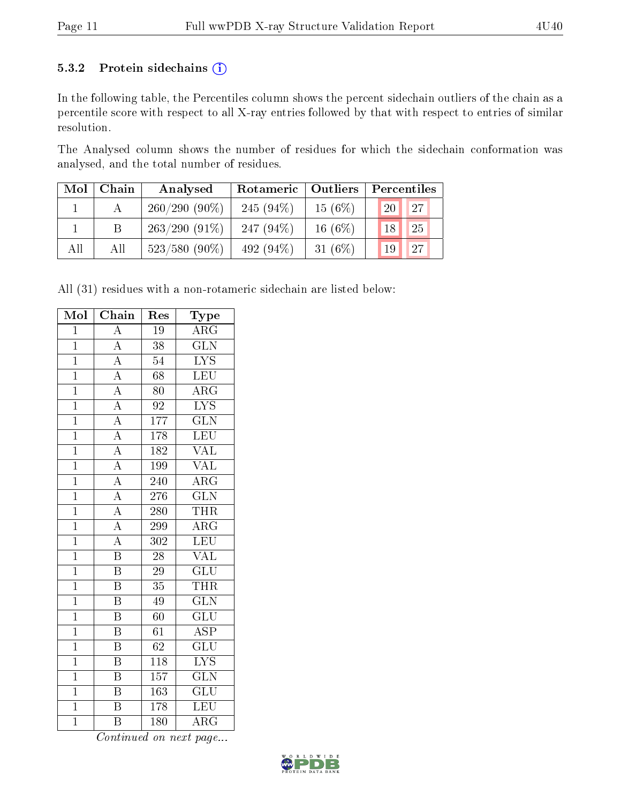#### 5.3.2 Protein sidechains (i)

In the following table, the Percentiles column shows the percent sidechain outliers of the chain as a percentile score with respect to all X-ray entries followed by that with respect to entries of similar resolution.

The Analysed column shows the number of residues for which the sidechain conformation was analysed, and the total number of residues.

| Mol | Chain | Analysed        | Rotameric   Outliers |            | Percentiles                    |  |  |
|-----|-------|-----------------|----------------------|------------|--------------------------------|--|--|
|     |       | $260/290(90\%)$ | 245 $(94\%)$         | 15(6%)     | 127<br>'20                     |  |  |
|     |       | $263/290(91\%)$ | 247 $(94\%)$         | $16(6\%)$  | 25<br>18                       |  |  |
| All | All   | $523/580(90\%)$ | 492 $(94\%)$         | 31 $(6\%)$ | $\sqrt{27}$<br>19 <sup>1</sup> |  |  |

All (31) residues with a non-rotameric sidechain are listed below:

| Mol            | $\overline{\text{Chain}}$ | Res             | Type                    |
|----------------|---------------------------|-----------------|-------------------------|
| $\mathbf{1}$   | $\overline{A}$            | 19              | $\rm{ARG}$              |
| $\overline{1}$ | $\overline{\rm A}$        | $\overline{38}$ | $\overline{\text{GLN}}$ |
| $\overline{1}$ | $\overline{A}$            | 54              | $\overline{\text{LYS}}$ |
| $\overline{1}$ | $\overline{A}$            | $\overline{68}$ | $\overline{\text{LEU}}$ |
| $\overline{1}$ | $\frac{\overline{A}}{A}$  | 80              | $\overline{\rm{ARG}}$   |
| $\mathbf 1$    |                           | 92              | $\overline{\text{LYS}}$ |
| $\overline{1}$ | $\overline{A}$            | 177             | $\overline{\text{GLN}}$ |
| $\overline{1}$ | $\overline{A}$            | 178             | LEU                     |
| $\overline{1}$ | $\overline{A}$            | 182             | $\rm \sqrt{AL}$         |
| $\overline{1}$ | $\overline{A}$            | 199             | <b>VAL</b>              |
| $\mathbf{1}$   | $\overline{A}$            | 240             | $\overline{\rm{ARG}}$   |
| $\overline{1}$ | $\overline{A}$            | 276             | $\overline{\text{GLN}}$ |
| $\mathbf{1}$   | $\overline{A}$            | 280             | THR                     |
| $\overline{1}$ | $\overline{\rm A}$        | 299             | $\overline{\rm{ARG}}$   |
| $\overline{1}$ | $\overline{A}$            | 302             | LEU                     |
| $\overline{1}$ | $\overline{\mathrm{B}}$   | 28              | VAL                     |
| $\overline{1}$ | $\overline{\mathrm{B}}$   | 29              | $\overline{\text{GLU}}$ |
| $\overline{1}$ | B                         | 35              | <b>THR</b>              |
| $\overline{1}$ | $\overline{\mathrm{B}}$   | $\overline{49}$ | $\overline{\text{GLN}}$ |
| $\overline{1}$ | $\overline{\mathrm{B}}$   | 60              | $\overline{\text{GLU}}$ |
| $\overline{1}$ | B                         | 61              | $\overline{\text{ASP}}$ |
| $\overline{1}$ | $\overline{\mathrm{B}}$   | $\overline{62}$ | $\overline{\text{GLU}}$ |
| $\mathbf{1}$   | $\overline{\mathrm{B}}$   | 118             | $\overline{\text{LYS}}$ |
| $\overline{1}$ | $\overline{\mathrm{B}}$   | 157             | $\overline{\text{GLN}}$ |
| $\mathbf{1}$   | $\overline{\mathrm{B}}$   | 163             | $\overline{\text{GLU}}$ |
| $\mathbf{1}$   | $\overline{\rm B}$        | 178             | LEU                     |
| $\overline{1}$ | B                         | 180             | $\overline{\rm{ARG}}$   |

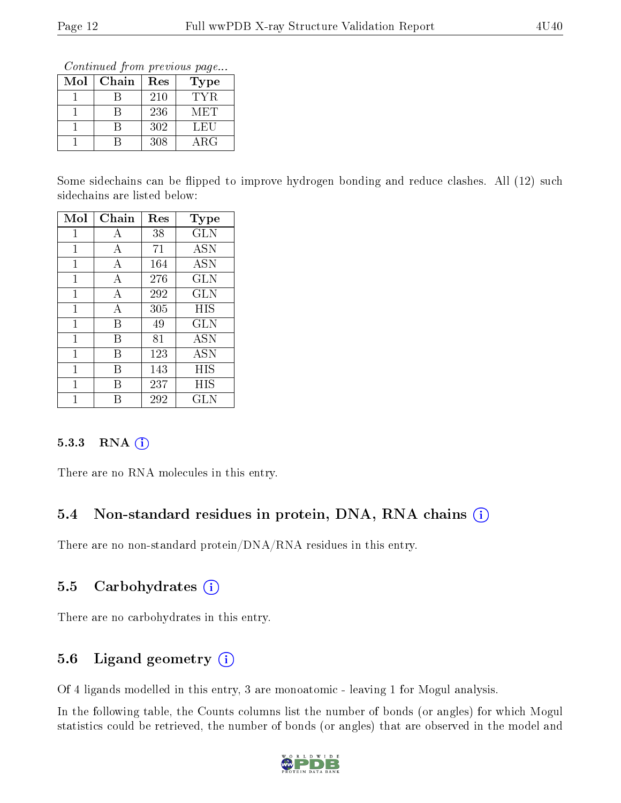Continued from previous page...

| Mol | Chain | Res | Type       |
|-----|-------|-----|------------|
|     |       | 210 | TYR.       |
|     |       | 236 | M ET       |
|     |       | 302 | LEU        |
|     |       | 308 | $\rm{ARG}$ |

Some sidechains can be flipped to improve hydrogen bonding and reduce clashes. All (12) such sidechains are listed below:

| Mol | Chain | $\operatorname{Res}$ | Type       |
|-----|-------|----------------------|------------|
| 1   | А     | 38                   | <b>GLN</b> |
| 1   | А     | 71                   | <b>ASN</b> |
| 1   | А     | 164                  | <b>ASN</b> |
| 1   | А     | 276                  | <b>GLN</b> |
| 1   | А     | 292                  | GLN        |
| 1   | А     | 305                  | <b>HIS</b> |
| 1   | В     | 49                   | <b>GLN</b> |
| 1   | В     | 81                   | <b>ASN</b> |
| 1   | В     | 123                  | <b>ASN</b> |
| 1   | В     | 143                  | HIS        |
| 1   | В     | 237                  | HIS        |
|     | R     | 292                  | GLN        |

#### $5.3.3$  RNA  $(i)$

There are no RNA molecules in this entry.

### 5.4 Non-standard residues in protein, DNA, RNA chains (i)

There are no non-standard protein/DNA/RNA residues in this entry.

### 5.5 Carbohydrates  $(i)$

There are no carbohydrates in this entry.

### 5.6 Ligand geometry (i)

Of 4 ligands modelled in this entry, 3 are monoatomic - leaving 1 for Mogul analysis.

In the following table, the Counts columns list the number of bonds (or angles) for which Mogul statistics could be retrieved, the number of bonds (or angles) that are observed in the model and

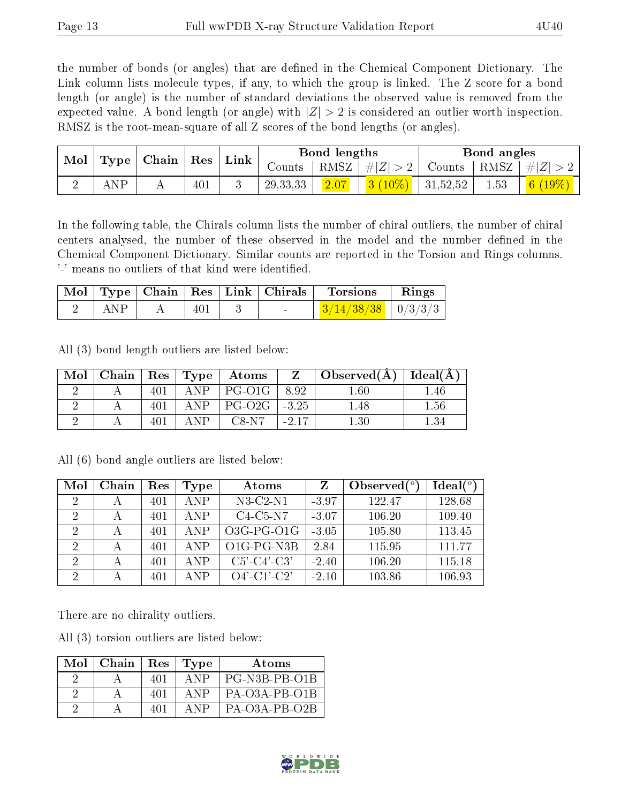the number of bonds (or angles) that are defined in the Chemical Component Dictionary. The Link column lists molecule types, if any, to which the group is linked. The Z score for a bond length (or angle) is the number of standard deviations the observed value is removed from the expected value. A bond length (or angle) with  $|Z| > 2$  is considered an outlier worth inspection. RMSZ is the root-mean-square of all Z scores of the bond lengths (or angles).

| $\bf{Mol}_\parallel$ |     |     | $\perp$ Link<br>$\vert$ Type $\vert$ Chain $\vert$ Res $\vert$ |  | Bond lengths                       |      |                                                                                      | Bond angles   |      |         |
|----------------------|-----|-----|----------------------------------------------------------------|--|------------------------------------|------|--------------------------------------------------------------------------------------|---------------|------|---------|
|                      |     |     |                                                                |  | $\frac{1}{2}$ Counts $\frac{1}{2}$ |      | RMSZ $ #Z  > 2$                                                                      | Counts   RMSZ |      | $\# Z $ |
|                      | ND. | . . | 401                                                            |  | 29, 33, 33                         | 2.07 | $\begin{array}{ c c c c c c c c } \hline 3 & (10\%) & 31,52,52 \\\hline \end{array}$ |               | 1.53 |         |

In the following table, the Chirals column lists the number of chiral outliers, the number of chiral centers analysed, the number of these observed in the model and the number defined in the Chemical Component Dictionary. Similar counts are reported in the Torsion and Rings columns. '-' means no outliers of that kind were identified.

|     |     |  | $\mid$ Mol $\mid$ Type $\mid$ Chain $\mid$ Res $\mid$ Link $\mid$ Chirals $\mid$ Torsions | $\parallel$ Rings |
|-----|-----|--|-------------------------------------------------------------------------------------------|-------------------|
| ANP | 401 |  | $\frac{3}{14/38/38}$   0/3/3/3                                                            |                   |

All (3) bond length outliers are listed below:

| Mol |     |       | Chain   Res   Type   Atoms   | $\mathbf{Z}$ | $\mid$ Observed(Å) $\mid$ Ideal(Å) $\mid$ |          |
|-----|-----|-------|------------------------------|--------------|-------------------------------------------|----------|
|     | 401 | ANP   | $ PG-O1G $                   | 8.92         | 1.60                                      | .46      |
|     | 401 | ANP.  | $\vert$ PG-O2G $\vert$ -3.25 |              | $-48$                                     | $1.56\,$ |
|     |     | A N P | C8-N7                        | $-2.17$      | $1.30\,$                                  | 1.34     |

| Mol                         | Chain | Res | Type       | Atoms          |         | Observed $(°)$ | Ideal $(°)$ |
|-----------------------------|-------|-----|------------|----------------|---------|----------------|-------------|
| 2                           | А     | 401 | ANP        | $N3-C2-N1$     | $-3.97$ | 122.47         | 128.68      |
| $\mathcal{D}_{\mathcal{C}}$ | А     | 401 | <b>ANP</b> | $C4-C5-N7$     | $-3.07$ | 106.20         | 109.40      |
| 2                           | А     | 401 | <b>ANP</b> | $O3G-PG-O1G$   | $-3.05$ | 105.80         | 113.45      |
| 2                           | А     | 401 | <b>ANP</b> | O1G-PG-N3B     | 2.84    | 115.95         | 111 77      |
| $\mathcal{D}$               | А     | 401 | <b>ANP</b> | $C5'-C4'-C3'$  | $-2.40$ | 106.20         | 115.18      |
| റ                           |       | 401 | A N P      | $O4'$ -C1'-C2' | $-2.10$ | 103.86         | 106.93      |

All (6) bond angle outliers are listed below:

There are no chirality outliers.

All (3) torsion outliers are listed below:

| $Mol$   Chain |      | $Res$ Type | Atoms         |
|---------------|------|------------|---------------|
|               | 401  | A NP       | PG-N3B-PB-O1B |
|               | -401 | A NP       | PA-O3A-PB-O1B |
|               | 401  | A NP       | PA-O3A-PB-O2B |

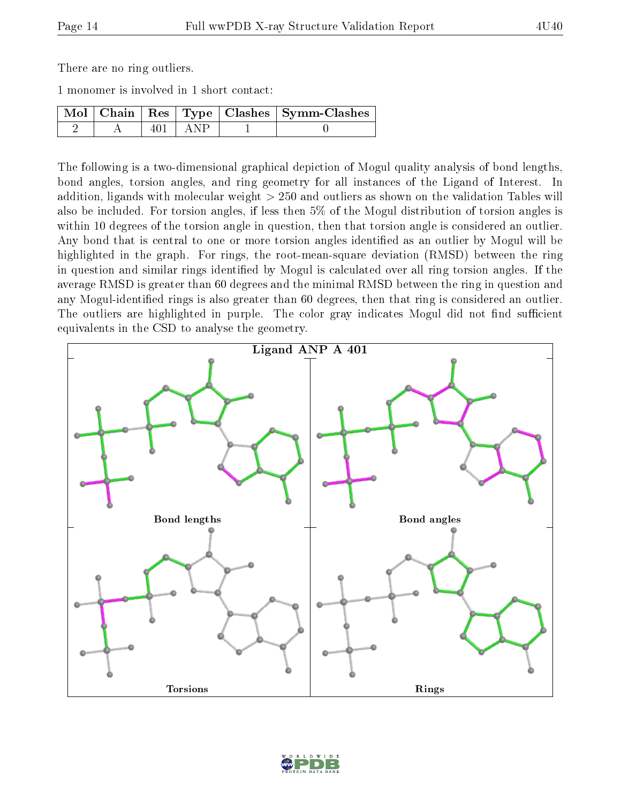There are no ring outliers.

1 monomer is involved in 1 short contact:

|  |             | $\sqrt{\text{Mol} + \text{Chain}} + \text{Res} + \text{Type} + \text{Class} + \text{Symm-Clashes} + \text{Complex}$ |
|--|-------------|---------------------------------------------------------------------------------------------------------------------|
|  | $401$   ANP |                                                                                                                     |

The following is a two-dimensional graphical depiction of Mogul quality analysis of bond lengths, bond angles, torsion angles, and ring geometry for all instances of the Ligand of Interest. In addition, ligands with molecular weight > 250 and outliers as shown on the validation Tables will also be included. For torsion angles, if less then 5% of the Mogul distribution of torsion angles is within 10 degrees of the torsion angle in question, then that torsion angle is considered an outlier. Any bond that is central to one or more torsion angles identified as an outlier by Mogul will be highlighted in the graph. For rings, the root-mean-square deviation (RMSD) between the ring in question and similar rings identified by Mogul is calculated over all ring torsion angles. If the average RMSD is greater than 60 degrees and the minimal RMSD between the ring in question and any Mogul-identified rings is also greater than 60 degrees, then that ring is considered an outlier. The outliers are highlighted in purple. The color gray indicates Mogul did not find sufficient equivalents in the CSD to analyse the geometry.



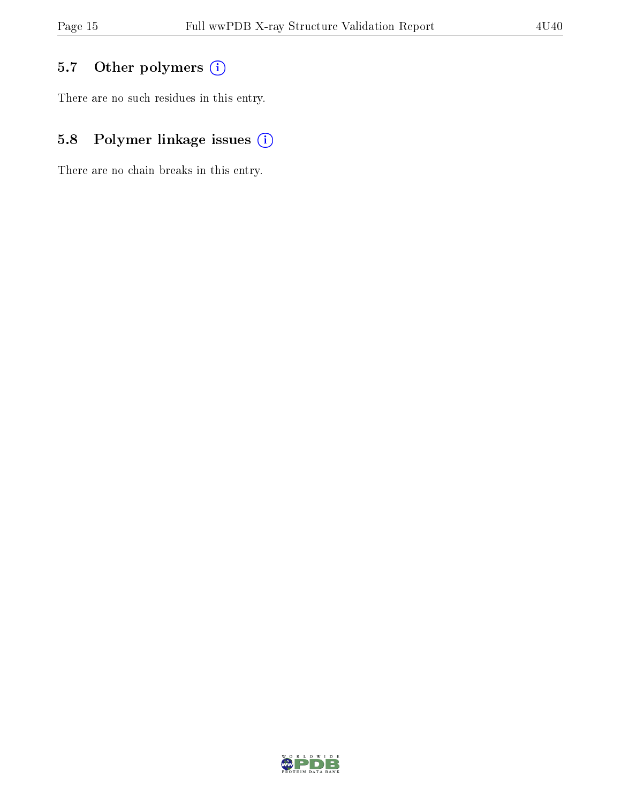# 5.7 [O](https://www.wwpdb.org/validation/2017/XrayValidationReportHelp#nonstandard_residues_and_ligands)ther polymers (i)

There are no such residues in this entry.

# 5.8 Polymer linkage issues (i)

There are no chain breaks in this entry.

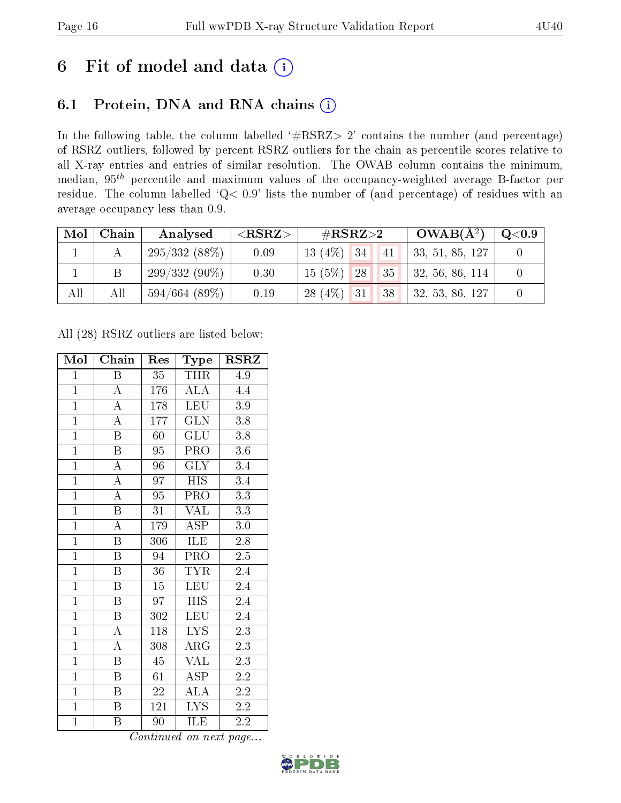# 6 Fit of model and data  $(i)$

### 6.1 Protein, DNA and RNA chains  $(i)$

In the following table, the column labelled  $#RSRZ> 2'$  contains the number (and percentage) of RSRZ outliers, followed by percent RSRZ outliers for the chain as percentile scores relative to all X-ray entries and entries of similar resolution. The OWAB column contains the minimum, median,  $95<sup>th</sup>$  percentile and maximum values of the occupancy-weighted average B-factor per residue. The column labelled ' $Q< 0.9$ ' lists the number of (and percentage) of residues with an average occupancy less than 0.9.

| Mol | Chain | Analysed           | ${ <\hspace{-1.5pt}{\mathrm{RSRZ}} \hspace{-1.5pt}>}$ | $\#\text{RSRZ}\text{>2}$           | $OWAB(A^2)$             | $\rm Q\textcolor{black}{<}0.9$ |
|-----|-------|--------------------|-------------------------------------------------------|------------------------------------|-------------------------|--------------------------------|
|     |       | 295/332(88%)       | 0.09                                                  | $13(4\%)$ 34<br>41                 | 33, 51, 85, 127         |                                |
|     |       | $299/332(90\%)$    | 0.30                                                  | $15(5\%)$<br>35 <sup>1</sup><br>28 | $\vert$ 32, 56, 86, 114 |                                |
| All | All   | $594/664$ $(89\%)$ | 0.19                                                  | $28(4\%)$ 31<br>38                 | 32, 53, 86, 127         |                                |

All (28) RSRZ outliers are listed below:

| Mol            | Chain                   | Res             | Type                    | $\rm RSRZ$       |
|----------------|-------------------------|-----------------|-------------------------|------------------|
| $\mathbf{1}$   | Β                       | $35\,$          | THR                     | 4.9              |
| $\overline{1}$ | $\boldsymbol{A}$        | 176             | ALA                     | 4.4              |
| $\overline{1}$ | $\overline{\rm A}$      | 178             | LEU                     | 3.9              |
| $\overline{1}$ | $\overline{\rm A}$      | 177             | $\overline{\text{GLN}}$ | 3.8              |
| $\overline{1}$ | $\overline{\mathrm{B}}$ | $\overline{60}$ | $\overline{{\rm GLU}}$  | $\overline{3.8}$ |
| $\overline{1}$ | $\boldsymbol{B}$        | 95              | PRO                     | $3.6\,$          |
| $\overline{1}$ | $\overline{\rm A}$      | 96              | <b>GLY</b>              | 3.4              |
| $\overline{1}$ | $\overline{\rm A}$      | 97              | <b>HIS</b>              | $\overline{3.4}$ |
| $\overline{1}$ | $\overline{\rm A}$      | 95              | PRO                     | 3.3              |
| $\overline{1}$ | $\overline{\mathrm{B}}$ | $\overline{31}$ | <b>VAL</b>              | $\overline{3.3}$ |
| $\overline{1}$ | $\overline{\rm A}$      | 179             | <b>ASP</b>              | $3.0\,$          |
| $\overline{1}$ | $\overline{\mathrm{B}}$ | 306             | <b>ILE</b>              | $2.8\,$          |
| $\overline{1}$ | $\overline{\mathrm{B}}$ | 94              | PRO                     | 2.5              |
| $\overline{1}$ | $\overline{\mathrm{B}}$ | 36              | <b>TYR</b>              | 2.4              |
| $\overline{1}$ | $\overline{\mathrm{B}}$ | $\overline{15}$ | LEU                     | 2.4              |
| $\mathbf{1}$   | $\, {\bf B}$            | 97              | <b>HIS</b>              | 2.4              |
| $\overline{1}$ | $\overline{\mathrm{B}}$ | 302             | $\overline{\text{LEU}}$ | $\overline{2.4}$ |
| $\overline{1}$ | $\boldsymbol{A}$        | 118             | <b>LYS</b>              | $2.\overline{3}$ |
| $\overline{1}$ | $\overline{\rm A}$      | 308             | $\overline{\rm{ARG}}$   | $\overline{2.3}$ |
| $\overline{1}$ | $\overline{\mathrm{B}}$ | 45              | <b>VAL</b>              | $\overline{2.3}$ |
| $\overline{1}$ | $\boldsymbol{B}$        | 61              | <b>ASP</b>              | $\overline{2.2}$ |
| $\overline{1}$ | Β                       | 22              | $\rm ALA$               | $2.2\,$          |
| $\mathbf{1}$   | $\boldsymbol{B}$        | <sup>1</sup> 21 | <b>LYS</b>              | 2.2              |
| $\mathbf{1}$   | B                       | 90              | ILE                     | $2.\overline{2}$ |

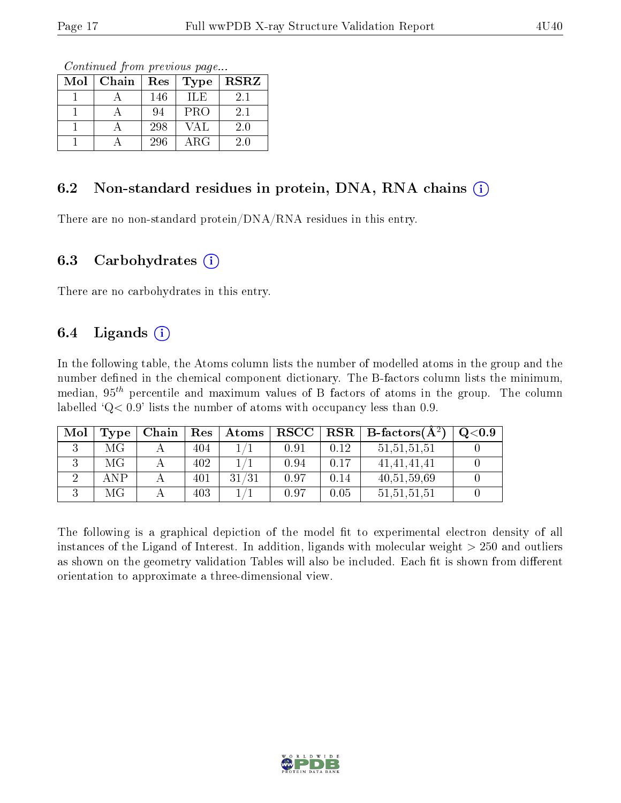Continued from previous page...

| Mol | Chain | Res | <b>Type</b> | <b>RSRZ</b> |
|-----|-------|-----|-------------|-------------|
|     |       | 146 | ILE         | 2.1         |
|     |       | 94  | <b>PRO</b>  | 2.1         |
|     |       | 298 | VAL         | 2.0         |
|     |       | 296 | $\rm{ARG}$  | 2 0         |

#### 6.2 Non-standard residues in protein, DNA, RNA chains  $(i)$

There are no non-standard protein/DNA/RNA residues in this entry.

#### 6.3 Carbohydrates (i)

There are no carbohydrates in this entry.

#### 6.4 Ligands  $(i)$

In the following table, the Atoms column lists the number of modelled atoms in the group and the number defined in the chemical component dictionary. The B-factors column lists the minimum, median,  $95<sup>th</sup>$  percentile and maximum values of B factors of atoms in the group. The column labelled  $Q< 0.9$ ' lists the number of atoms with occupancy less than 0.9.

| Mol | Type | Chain | Res | $\mid$ Atoms | $\bf RSCC$ |      | $\parallel$ RSR $\parallel$ B-factors( $\AA^2$ ) | $\mathrm{O}{<}0.9$ |
|-----|------|-------|-----|--------------|------------|------|--------------------------------------------------|--------------------|
|     | МG   |       | 404 |              | 0.91       | 0.12 | 51, 51, 51, 51                                   |                    |
|     | МG   |       | 402 |              | 0.94       | 0.17 | 41, 41, 41, 41                                   |                    |
|     | ANP  |       | 401 | 31/31        | 0.97       | 0.14 | 40,51,59,69                                      |                    |
|     | МG   |       | 403 |              | 0.97       | 0.05 | 51, 51, 51, 51                                   |                    |

The following is a graphical depiction of the model fit to experimental electron density of all instances of the Ligand of Interest. In addition, ligands with molecular weight > 250 and outliers as shown on the geometry validation Tables will also be included. Each fit is shown from different orientation to approximate a three-dimensional view.